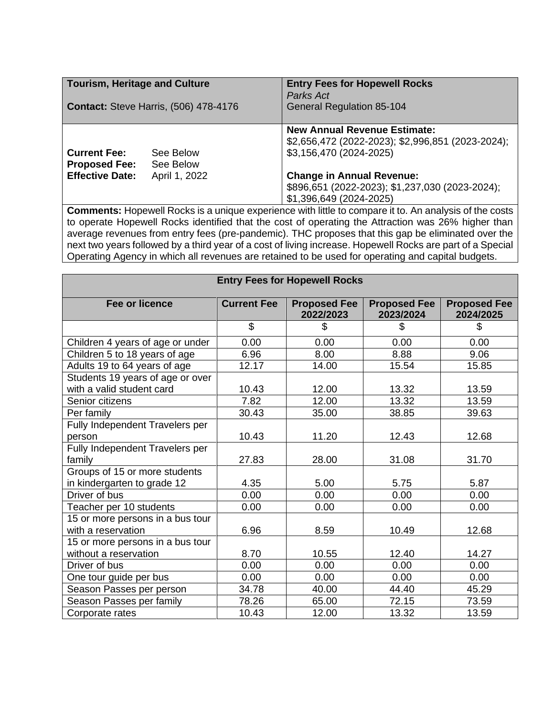| <b>Tourism, Heritage and Culture</b><br><b>Contact: Steve Harris, (506) 478-4176</b> |                        | <b>Entry Fees for Hopewell Rocks</b><br>Parks Act<br><b>General Regulation 85-104</b>                               |  |  |
|--------------------------------------------------------------------------------------|------------------------|---------------------------------------------------------------------------------------------------------------------|--|--|
| <b>Current Fee:</b><br><b>Proposed Fee:</b>                                          | See Below<br>See Below | <b>New Annual Revenue Estimate:</b><br>\$2,656,472 (2022-2023); \$2,996,851 (2023-2024);<br>\$3,156,470 (2024-2025) |  |  |
| <b>Effective Date:</b>                                                               | April 1, 2022          | <b>Change in Annual Revenue:</b><br>\$896,651 (2022-2023); \$1,237,030 (2023-2024);<br>\$1,396,649 (2024-2025)      |  |  |

**Comments:** Hopewell Rocks is a unique experience with little to compare it to. An analysis of the costs to operate Hopewell Rocks identified that the cost of operating the Attraction was 26% higher than average revenues from entry fees (pre-pandemic). THC proposes that this gap be eliminated over the next two years followed by a third year of a cost of living increase. Hopewell Rocks are part of a Special Operating Agency in which all revenues are retained to be used for operating and capital budgets.

| <b>Entry Fees for Hopewell Rocks</b> |                    |                                  |                                  |                                  |  |  |  |
|--------------------------------------|--------------------|----------------------------------|----------------------------------|----------------------------------|--|--|--|
| <b>Fee or licence</b>                | <b>Current Fee</b> | <b>Proposed Fee</b><br>2022/2023 | <b>Proposed Fee</b><br>2023/2024 | <b>Proposed Fee</b><br>2024/2025 |  |  |  |
|                                      | \$                 | S                                | \$                               | \$                               |  |  |  |
| Children 4 years of age or under     | 0.00               | 0.00                             | 0.00                             | 0.00                             |  |  |  |
| Children 5 to 18 years of age        | 6.96               | 8.00                             | 8.88                             | 9.06                             |  |  |  |
| Adults 19 to 64 years of age         | 12.17              | 14.00                            | 15.54                            | 15.85                            |  |  |  |
| Students 19 years of age or over     |                    |                                  |                                  |                                  |  |  |  |
| with a valid student card            | 10.43              | 12.00                            | 13.32                            | 13.59                            |  |  |  |
| Senior citizens                      | 7.82               | 12.00                            | 13.32                            | 13.59                            |  |  |  |
| Per family                           | 30.43              | 35.00                            | 38.85                            | 39.63                            |  |  |  |
| Fully Independent Travelers per      |                    |                                  |                                  |                                  |  |  |  |
| person                               | 10.43              | 11.20                            | 12.43                            | 12.68                            |  |  |  |
| Fully Independent Travelers per      |                    |                                  |                                  |                                  |  |  |  |
| family                               | 27.83              | 28.00                            | 31.08                            | 31.70                            |  |  |  |
| Groups of 15 or more students        |                    |                                  |                                  |                                  |  |  |  |
| in kindergarten to grade 12          | 4.35               | 5.00                             | 5.75                             | 5.87                             |  |  |  |
| Driver of bus                        | 0.00               | 0.00                             | 0.00                             | 0.00                             |  |  |  |
| Teacher per 10 students              | 0.00               | 0.00                             | 0.00                             | 0.00                             |  |  |  |
| 15 or more persons in a bus tour     |                    |                                  |                                  |                                  |  |  |  |
| with a reservation                   | 6.96               | 8.59                             | 10.49                            | 12.68                            |  |  |  |
| 15 or more persons in a bus tour     |                    |                                  |                                  |                                  |  |  |  |
| without a reservation                | 8.70               | 10.55                            | 12.40                            | 14.27                            |  |  |  |
| Driver of bus                        | 0.00               | 0.00                             | 0.00                             | 0.00                             |  |  |  |
| One tour guide per bus               | 0.00               | 0.00                             | 0.00                             | 0.00                             |  |  |  |
| Season Passes per person             | 34.78              | 40.00                            | 44.40                            | 45.29                            |  |  |  |
| Season Passes per family             | 78.26              | 65.00                            | 72.15                            | 73.59                            |  |  |  |
| Corporate rates                      | 10.43              | 12.00                            | 13.32                            | 13.59                            |  |  |  |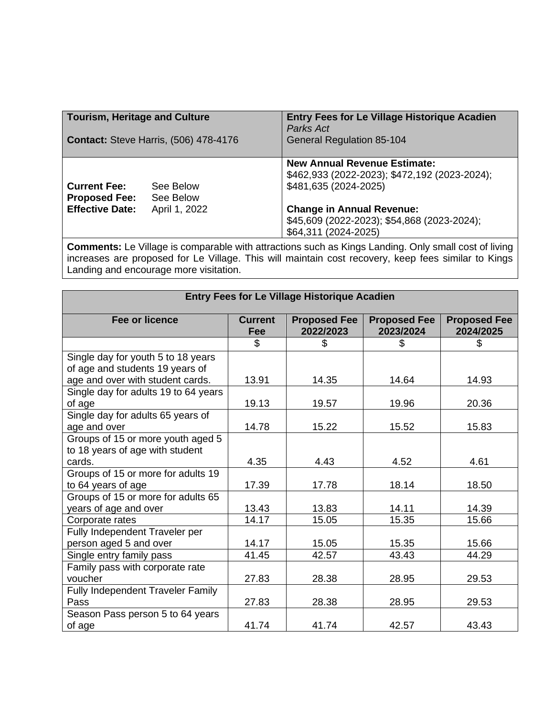| Tourism, Heritage and Culture<br><b>Contact: Steve Harris, (506) 478-4176</b> |               | <b>Entry Fees for Le Village Historique Acadien</b><br>Parks Act<br><b>General Regulation 85-104</b>          |  |
|-------------------------------------------------------------------------------|---------------|---------------------------------------------------------------------------------------------------------------|--|
| See Below<br><b>Current Fee:</b><br><b>Proposed Fee:</b><br>See Below         |               | <b>New Annual Revenue Estimate:</b><br>\$462,933 (2022-2023); \$472,192 (2023-2024);<br>\$481,635 (2024-2025) |  |
| <b>Effective Date:</b>                                                        | April 1, 2022 | <b>Change in Annual Revenue:</b><br>\$45,609 (2022-2023); \$54,868 (2023-2024);<br>\$64,311 (2024-2025)       |  |

**Comments:** Le Village is comparable with attractions such as Kings Landing. Only small cost of living increases are proposed for Le Village. This will maintain cost recovery, keep fees similar to Kings Landing and encourage more visitation.

| <b>Entry Fees for Le Village Historique Acadien</b> |                       |                                  |                                  |                                  |  |  |
|-----------------------------------------------------|-----------------------|----------------------------------|----------------------------------|----------------------------------|--|--|
| <b>Fee or licence</b>                               | <b>Current</b><br>Fee | <b>Proposed Fee</b><br>2022/2023 | <b>Proposed Fee</b><br>2023/2024 | <b>Proposed Fee</b><br>2024/2025 |  |  |
|                                                     | \$                    | S                                | S                                | \$                               |  |  |
| Single day for youth 5 to 18 years                  |                       |                                  |                                  |                                  |  |  |
| of age and students 19 years of                     |                       |                                  |                                  |                                  |  |  |
| age and over with student cards.                    | 13.91                 | 14.35                            | 14.64                            | 14.93                            |  |  |
| Single day for adults 19 to 64 years                |                       |                                  |                                  |                                  |  |  |
| of age                                              | 19.13                 | 19.57                            | 19.96                            | 20.36                            |  |  |
| Single day for adults 65 years of                   |                       |                                  |                                  |                                  |  |  |
| age and over                                        | 14.78                 | 15.22                            | 15.52                            | 15.83                            |  |  |
| Groups of 15 or more youth aged 5                   |                       |                                  |                                  |                                  |  |  |
| to 18 years of age with student                     |                       |                                  |                                  |                                  |  |  |
| cards.                                              | 4.35                  | 4.43                             | 4.52                             | 4.61                             |  |  |
| Groups of 15 or more for adults 19                  |                       |                                  |                                  |                                  |  |  |
| to 64 years of age                                  | 17.39                 | 17.78                            | 18.14                            | 18.50                            |  |  |
| Groups of 15 or more for adults 65                  |                       |                                  |                                  |                                  |  |  |
| years of age and over                               | 13.43                 | 13.83                            | 14.11                            | 14.39                            |  |  |
| Corporate rates                                     | 14.17                 | 15.05                            | 15.35                            | 15.66                            |  |  |
| Fully Independent Traveler per                      |                       |                                  |                                  |                                  |  |  |
| person aged 5 and over                              | 14.17                 | 15.05                            | 15.35                            | 15.66                            |  |  |
| Single entry family pass                            | 41.45                 | 42.57                            | 43.43                            | 44.29                            |  |  |
| Family pass with corporate rate                     |                       |                                  |                                  |                                  |  |  |
| voucher                                             | 27.83                 | 28.38                            | 28.95                            | 29.53                            |  |  |
| Fully Independent Traveler Family                   |                       |                                  |                                  |                                  |  |  |
| Pass                                                | 27.83                 | 28.38                            | 28.95                            | 29.53                            |  |  |
| Season Pass person 5 to 64 years                    |                       |                                  |                                  |                                  |  |  |
| of age                                              | 41.74                 | 41.74                            | 42.57                            | 43.43                            |  |  |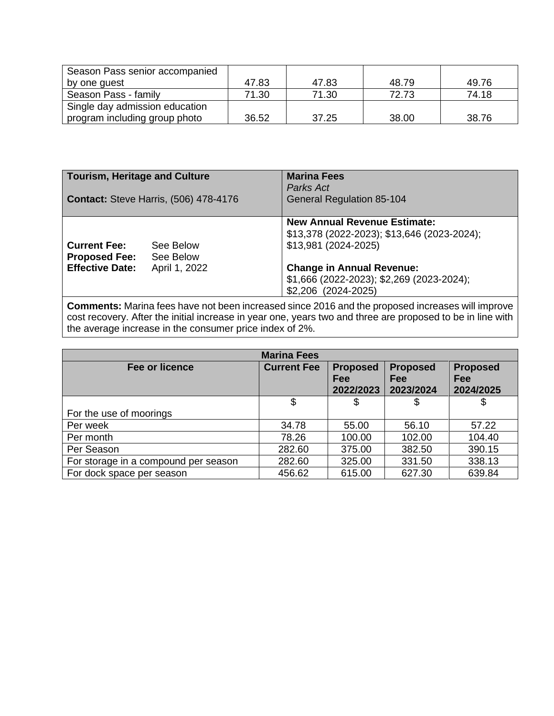| Season Pass senior accompanied |       |       |       |       |
|--------------------------------|-------|-------|-------|-------|
| by one guest                   | 47.83 | 47.83 | 48.79 | 49.76 |
| Season Pass - family           | 71.30 | 71.30 | 72.73 | 74.18 |
| Single day admission education |       |       |       |       |
| program including group photo  | 36.52 | 37.25 | 38.00 | 38.76 |

| Tourism, Heritage and Culture<br><b>Contact: Steve Harris, (506) 478-4176</b> |                        | <b>Marina Fees</b><br>Parks Act<br><b>General Regulation 85-104</b>                                        |  |
|-------------------------------------------------------------------------------|------------------------|------------------------------------------------------------------------------------------------------------|--|
| <b>Current Fee:</b><br><b>Proposed Fee:</b>                                   | See Below<br>See Below | <b>New Annual Revenue Estimate:</b><br>\$13,378 (2022-2023); \$13,646 (2023-2024);<br>\$13,981 (2024-2025) |  |
| <b>Effective Date:</b>                                                        | April 1, 2022          | <b>Change in Annual Revenue:</b><br>\$1,666 (2022-2023); \$2,269 (2023-2024);<br>\$2,206 (2024-2025)       |  |

**Comments:** Marina fees have not been increased since 2016 and the proposed increases will improve cost recovery. After the initial increase in year one, years two and three are proposed to be in line with the average increase in the consumer price index of 2%.

| <b>Marina Fees</b>                   |                    |                                     |                                     |                                            |  |  |
|--------------------------------------|--------------------|-------------------------------------|-------------------------------------|--------------------------------------------|--|--|
| <b>Fee or licence</b>                | <b>Current Fee</b> | <b>Proposed</b><br>Fee<br>2022/2023 | <b>Proposed</b><br>Fee<br>2023/2024 | <b>Proposed</b><br><b>Fee</b><br>2024/2025 |  |  |
|                                      | \$                 | \$                                  | \$                                  |                                            |  |  |
| For the use of moorings              |                    |                                     |                                     |                                            |  |  |
| Per week                             | 34.78              | 55.00                               | 56.10                               | 57.22                                      |  |  |
| Per month                            | 78.26              | 100.00                              | 102.00                              | 104.40                                     |  |  |
| Per Season                           | 282.60             | 375.00                              | 382.50                              | 390.15                                     |  |  |
| For storage in a compound per season | 282.60             | 325.00                              | 331.50                              | 338.13                                     |  |  |
| For dock space per season            | 456.62             | 615.00                              | 627.30                              | 639.84                                     |  |  |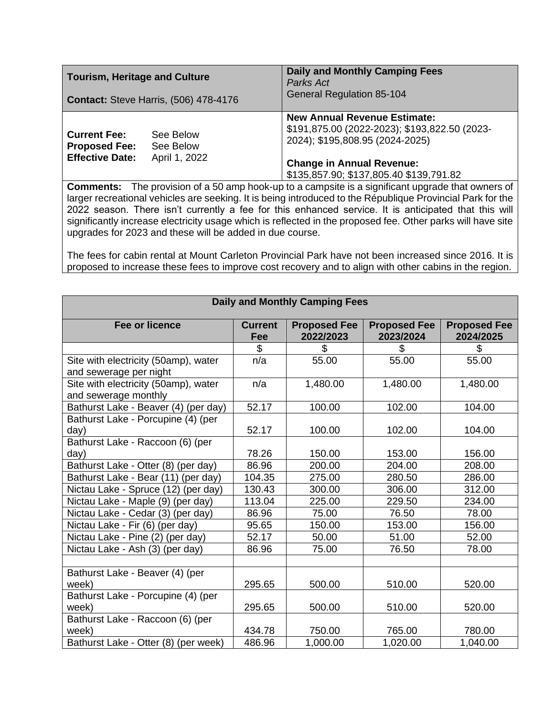| <b>Tourism, Heritage and Culture</b>                                  |                                         | <b>Daily and Monthly Camping Fees</b><br>Parks Act                                                                                                                                                     |  |
|-----------------------------------------------------------------------|-----------------------------------------|--------------------------------------------------------------------------------------------------------------------------------------------------------------------------------------------------------|--|
| <b>Contact: Steve Harris, (506) 478-4176</b>                          |                                         | <b>General Regulation 85-104</b>                                                                                                                                                                       |  |
| <b>Current Fee:</b><br><b>Proposed Fee:</b><br><b>Effective Date:</b> | See Below<br>See Below<br>April 1, 2022 | <b>New Annual Revenue Estimate:</b><br>\$191,875.00 (2022-2023); \$193,822.50 (2023-<br>2024); \$195,808.95 (2024-2025)<br><b>Change in Annual Revenue:</b><br>\$135,857.90; \$137,805.40 \$139,791.82 |  |

**Comments:** The provision of a 50 amp hook-up to a campsite is a significant upgrade that owners of larger recreational vehicles are seeking. It is being introduced to the République Provincial Park for the 2022 season. There isn't currently a fee for this enhanced service. It is anticipated that this will significantly increase electricity usage which is reflected in the proposed fee. Other parks will have site upgrades for 2023 and these will be added in due course.

The fees for cabin rental at Mount Carleton Provincial Park have not been increased since 2016. It is proposed to increase these fees to improve cost recovery and to align with other cabins in the region.

| <b>Daily and Monthly Camping Fees</b>                          |                       |                                  |                                  |                                  |  |  |  |
|----------------------------------------------------------------|-----------------------|----------------------------------|----------------------------------|----------------------------------|--|--|--|
| <b>Fee or licence</b>                                          | <b>Current</b><br>Fee | <b>Proposed Fee</b><br>2022/2023 | <b>Proposed Fee</b><br>2023/2024 | <b>Proposed Fee</b><br>2024/2025 |  |  |  |
|                                                                | \$                    | \$                               | \$                               | \$                               |  |  |  |
| Site with electricity (50amp), water<br>and sewerage per night | n/a                   | 55.00                            | 55.00                            | 55.00                            |  |  |  |
| Site with electricity (50amp), water<br>and sewerage monthly   | n/a                   | 1,480.00                         | 1,480.00                         | 1,480.00                         |  |  |  |
| Bathurst Lake - Beaver (4) (per day)                           | 52.17                 | 100.00                           | 102.00                           | 104.00                           |  |  |  |
| Bathurst Lake - Porcupine (4) (per<br>day)                     | 52.17                 | 100.00                           | 102.00                           | 104.00                           |  |  |  |
| Bathurst Lake - Raccoon (6) (per                               |                       |                                  |                                  |                                  |  |  |  |
| day)                                                           | 78.26                 | 150.00                           | 153.00                           | 156.00                           |  |  |  |
| Bathurst Lake - Otter (8) (per day)                            | 86.96                 | 200.00                           | 204.00                           | 208.00                           |  |  |  |
| Bathurst Lake - Bear (11) (per day)                            | 104.35                | 275.00                           | 280.50                           | 286.00                           |  |  |  |
| Nictau Lake - Spruce (12) (per day)                            | 130.43                | 300.00                           | 306.00                           | 312.00                           |  |  |  |
| Nictau Lake - Maple (9) (per day)                              | 113.04                | 225.00                           | 229.50                           | 234.00                           |  |  |  |
| Nictau Lake - Cedar (3) (per day)                              | 86.96                 | 75.00                            | 76.50                            | 78.00                            |  |  |  |
| Nictau Lake - Fir (6) (per day)                                | 95.65                 | 150.00                           | 153.00                           | 156.00                           |  |  |  |
| Nictau Lake - Pine (2) (per day)                               | 52.17                 | 50.00                            | 51.00                            | 52.00                            |  |  |  |
| Nictau Lake - Ash (3) (per day)                                | 86.96                 | 75.00                            | 76.50                            | 78.00                            |  |  |  |
|                                                                |                       |                                  |                                  |                                  |  |  |  |
| Bathurst Lake - Beaver (4) (per                                |                       |                                  |                                  |                                  |  |  |  |
| week)                                                          | 295.65                | 500.00                           | 510.00                           | 520.00                           |  |  |  |
| Bathurst Lake - Porcupine (4) (per                             |                       |                                  |                                  |                                  |  |  |  |
| week)                                                          | 295.65                | 500.00                           | 510.00                           | 520.00                           |  |  |  |
| Bathurst Lake - Raccoon (6) (per                               |                       |                                  |                                  |                                  |  |  |  |
| week)                                                          | 434.78                | 750.00                           | 765.00                           | 780.00                           |  |  |  |
| Bathurst Lake - Otter (8) (per week)                           | 486.96                | 1,000.00                         | 1,020.00                         | 1,040.00                         |  |  |  |